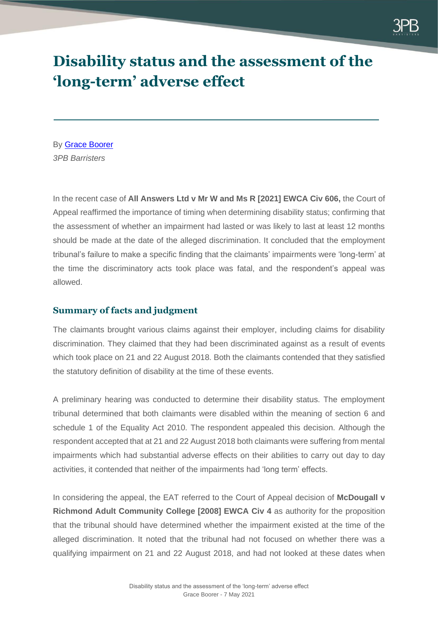

## **Disability status and the assessment of the 'long-term' adverse effect**

By [Grace Boorer](https://www.3pb.co.uk/barristers/grace-boorer/) *3PB Barristers*

In the recent case of **All Answers Ltd v Mr W and Ms R [2021] EWCA Civ 606,** the Court of Appeal reaffirmed the importance of timing when determining disability status; confirming that the assessment of whether an impairment had lasted or was likely to last at least 12 months should be made at the date of the alleged discrimination. It concluded that the employment tribunal's failure to make a specific finding that the claimants' impairments were 'long-term' at the time the discriminatory acts took place was fatal, and the respondent's appeal was allowed.

## **Summary of facts and judgment**

The claimants brought various claims against their employer, including claims for disability discrimination. They claimed that they had been discriminated against as a result of events which took place on 21 and 22 August 2018. Both the claimants contended that they satisfied the statutory definition of disability at the time of these events.

A preliminary hearing was conducted to determine their disability status. The employment tribunal determined that both claimants were disabled within the meaning of section 6 and schedule 1 of the Equality Act 2010. The respondent appealed this decision. Although the respondent accepted that at 21 and 22 August 2018 both claimants were suffering from mental impairments which had substantial adverse effects on their abilities to carry out day to day activities, it contended that neither of the impairments had 'long term' effects.

In considering the appeal, the EAT referred to the Court of Appeal decision of **McDougall v Richmond Adult Community College [2008] EWCA Civ 4** as authority for the proposition that the tribunal should have determined whether the impairment existed at the time of the alleged discrimination. It noted that the tribunal had not focused on whether there was a qualifying impairment on 21 and 22 August 2018, and had not looked at these dates when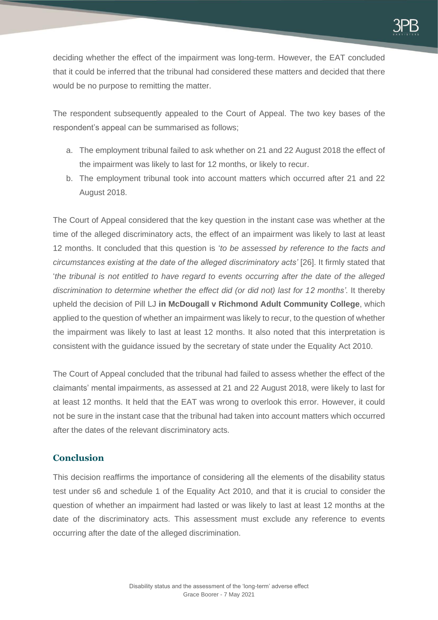deciding whether the effect of the impairment was long-term. However, the EAT concluded that it could be inferred that the tribunal had considered these matters and decided that there would be no purpose to remitting the matter.

The respondent subsequently appealed to the Court of Appeal. The two key bases of the respondent's appeal can be summarised as follows;

- a. The employment tribunal failed to ask whether on 21 and 22 August 2018 the effect of the impairment was likely to last for 12 months, or likely to recur.
- b. The employment tribunal took into account matters which occurred after 21 and 22 August 2018.

The Court of Appeal considered that the key question in the instant case was whether at the time of the alleged discriminatory acts, the effect of an impairment was likely to last at least 12 months. It concluded that this question is '*to be assessed by reference to the facts and circumstances existing at the date of the alleged discriminatory acts'* [26]. It firmly stated that '*the tribunal is not entitled to have regard to events occurring after the date of the alleged discrimination to determine whether the effect did (or did not) last for 12 months'*. It thereby upheld the decision of Pill LJ **in McDougall v Richmond Adult Community College**, which applied to the question of whether an impairment was likely to recur, to the question of whether the impairment was likely to last at least 12 months. It also noted that this interpretation is consistent with the guidance issued by the secretary of state under the Equality Act 2010.

The Court of Appeal concluded that the tribunal had failed to assess whether the effect of the claimants' mental impairments, as assessed at 21 and 22 August 2018, were likely to last for at least 12 months. It held that the EAT was wrong to overlook this error. However, it could not be sure in the instant case that the tribunal had taken into account matters which occurred after the dates of the relevant discriminatory acts.

## **Conclusion**

This decision reaffirms the importance of considering all the elements of the disability status test under s6 and schedule 1 of the Equality Act 2010, and that it is crucial to consider the question of whether an impairment had lasted or was likely to last at least 12 months at the date of the discriminatory acts. This assessment must exclude any reference to events occurring after the date of the alleged discrimination.